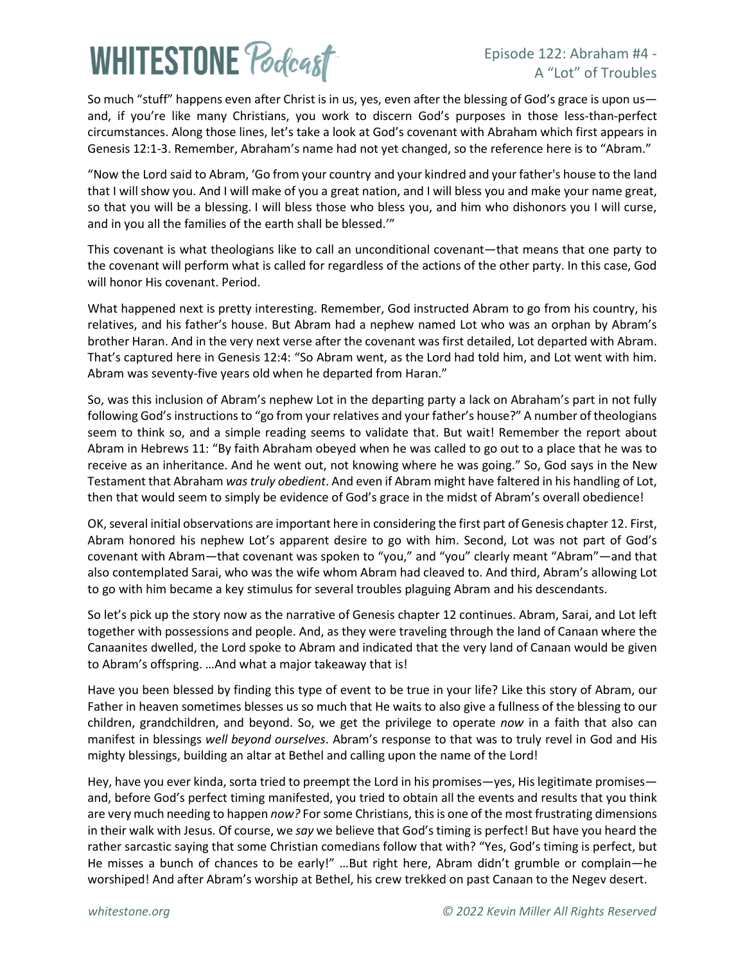# **WHITESTONE Poclast**

### Episode 122: Abraham #4 - A "Lot" of Troubles

So much "stuff" happens even after Christ is in us, yes, even after the blessing of God's grace is upon us and, if you're like many Christians, you work to discern God's purposes in those less-than-perfect circumstances. Along those lines, let's take a look at God's covenant with Abraham which first appears in Genesis 12:1-3. Remember, Abraham's name had not yet changed, so the reference here is to "Abram."

"Now the Lord said to Abram, 'Go from your country and your kindred and your father's house to the land that I will show you. And I will make of you a great nation, and I will bless you and make your name great, so that you will be a blessing. I will bless those who bless you, and him who dishonors you I will curse, and in you all the families of the earth shall be blessed.'"

This covenant is what theologians like to call an unconditional covenant—that means that one party to the covenant will perform what is called for regardless of the actions of the other party. In this case, God will honor His covenant. Period.

What happened next is pretty interesting. Remember, God instructed Abram to go from his country, his relatives, and his father's house. But Abram had a nephew named Lot who was an orphan by Abram's brother Haran. And in the very next verse after the covenant was first detailed, Lot departed with Abram. That's captured here in Genesis 12:4: "So Abram went, as the Lord had told him, and Lot went with him. Abram was seventy-five years old when he departed from Haran."

So, was this inclusion of Abram's nephew Lot in the departing party a lack on Abraham's part in not fully following God's instructions to "go from your relatives and your father's house?" A number of theologians seem to think so, and a simple reading seems to validate that. But wait! Remember the report about Abram in Hebrews 11: "By faith Abraham obeyed when he was called to go out to a place that he was to receive as an inheritance. And he went out, not knowing where he was going." So, God says in the New Testament that Abraham *was truly obedient*. And even if Abram might have faltered in his handling of Lot, then that would seem to simply be evidence of God's grace in the midst of Abram's overall obedience!

OK, several initial observations are important here in considering the first part of Genesis chapter 12. First, Abram honored his nephew Lot's apparent desire to go with him. Second, Lot was not part of God's covenant with Abram—that covenant was spoken to "you," and "you" clearly meant "Abram"—and that also contemplated Sarai, who was the wife whom Abram had cleaved to. And third, Abram's allowing Lot to go with him became a key stimulus for several troubles plaguing Abram and his descendants.

So let's pick up the story now as the narrative of Genesis chapter 12 continues. Abram, Sarai, and Lot left together with possessions and people. And, as they were traveling through the land of Canaan where the Canaanites dwelled, the Lord spoke to Abram and indicated that the very land of Canaan would be given to Abram's offspring. …And what a major takeaway that is!

Have you been blessed by finding this type of event to be true in your life? Like this story of Abram, our Father in heaven sometimes blesses us so much that He waits to also give a fullness of the blessing to our children, grandchildren, and beyond. So, we get the privilege to operate *now* in a faith that also can manifest in blessings *well beyond ourselves*. Abram's response to that was to truly revel in God and His mighty blessings, building an altar at Bethel and calling upon the name of the Lord!

Hey, have you ever kinda, sorta tried to preempt the Lord in his promises—yes, His legitimate promises and, before God's perfect timing manifested, you tried to obtain all the events and results that you think are very much needing to happen *now?* For some Christians, this is one of the most frustrating dimensions in their walk with Jesus. Of course, we *say* we believe that God's timing is perfect! But have you heard the rather sarcastic saying that some Christian comedians follow that with? "Yes, God's timing is perfect, but He misses a bunch of chances to be early!" …But right here, Abram didn't grumble or complain—he worshiped! And after Abram's worship at Bethel, his crew trekked on past Canaan to the Negev desert.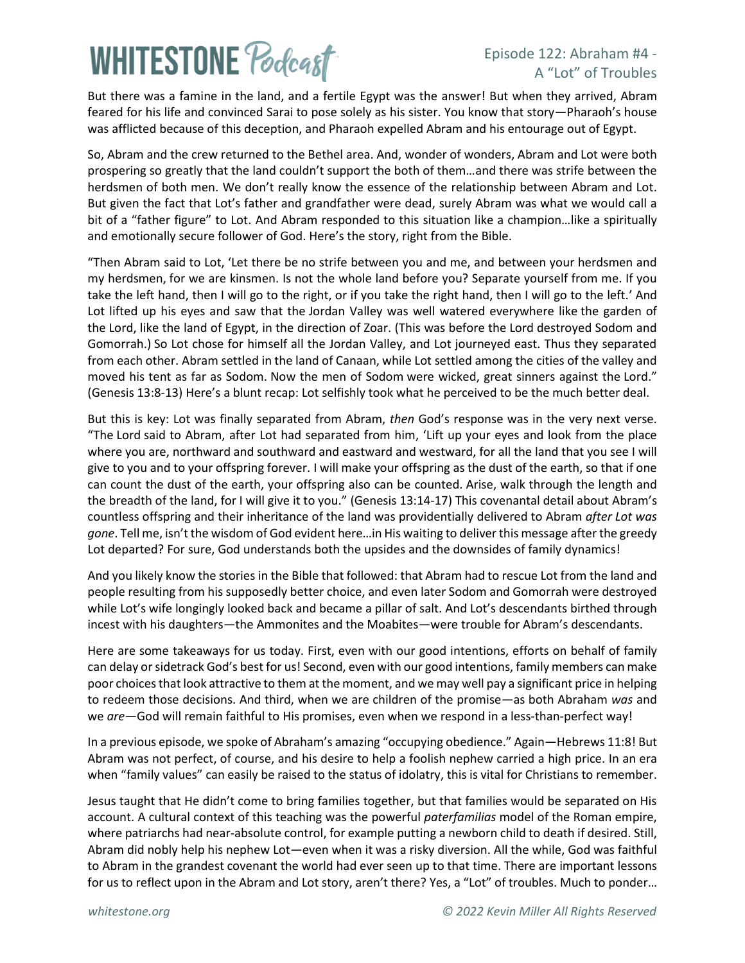## **WHITESTONE Poclast**

### Episode 122: Abraham #4 - A "Lot" of Troubles

But there was a famine in the land, and a fertile Egypt was the answer! But when they arrived, Abram feared for his life and convinced Sarai to pose solely as his sister. You know that story—Pharaoh's house was afflicted because of this deception, and Pharaoh expelled Abram and his entourage out of Egypt.

So, Abram and the crew returned to the Bethel area. And, wonder of wonders, Abram and Lot were both prospering so greatly that the land couldn't support the both of them…and there was strife between the herdsmen of both men. We don't really know the essence of the relationship between Abram and Lot. But given the fact that Lot's father and grandfather were dead, surely Abram was what we would call a bit of a "father figure" to Lot. And Abram responded to this situation like a champion…like a spiritually and emotionally secure follower of God. Here's the story, right from the Bible.

"Then Abram said to Lot, 'Let there be no strife between you and me, and between your herdsmen and my herdsmen, for we are kinsmen. Is not the whole land before you? Separate yourself from me. If you take the left hand, then I will go to the right, or if you take the right hand, then I will go to the left.' And Lot lifted up his eyes and saw that the Jordan Valley was well watered everywhere like the garden of the Lord, like the land of Egypt, in the direction of Zoar. (This was before the Lord destroyed Sodom and Gomorrah.) So Lot chose for himself all the Jordan Valley, and Lot journeyed east. Thus they separated from each other. Abram settled in the land of Canaan, while Lot settled among the cities of the valley and moved his tent as far as Sodom. Now the men of Sodom were wicked, great sinners against the Lord." (Genesis 13:8-13) Here's a blunt recap: Lot selfishly took what he perceived to be the much better deal.

But this is key: Lot was finally separated from Abram, *then* God's response was in the very next verse. "The Lord said to Abram, after Lot had separated from him, 'Lift up your eyes and look from the place where you are, northward and southward and eastward and westward, for all the land that you see I will give to you and to your offspring forever. I will make your offspring as the dust of the earth, so that if one can count the dust of the earth, your offspring also can be counted. Arise, walk through the length and the breadth of the land, for I will give it to you." (Genesis 13:14-17) This covenantal detail about Abram's countless offspring and their inheritance of the land was providentially delivered to Abram *after Lot was gone*. Tell me, isn'tthe wisdom of God evident here…in His waiting to deliver this message after the greedy Lot departed? For sure, God understands both the upsides and the downsides of family dynamics!

And you likely know the stories in the Bible that followed: that Abram had to rescue Lot from the land and people resulting from his supposedly better choice, and even later Sodom and Gomorrah were destroyed while Lot's wife longingly looked back and became a pillar of salt. And Lot's descendants birthed through incest with his daughters—the Ammonites and the Moabites—were trouble for Abram's descendants.

Here are some takeaways for us today. First, even with our good intentions, efforts on behalf of family can delay or sidetrack God's best for us! Second, even with our good intentions, family members can make poor choices that look attractive to them at the moment, and we may well pay a significant price in helping to redeem those decisions. And third, when we are children of the promise—as both Abraham *was* and we *are*—God will remain faithful to His promises, even when we respond in a less-than-perfect way!

In a previous episode, we spoke of Abraham's amazing "occupying obedience." Again—Hebrews 11:8! But Abram was not perfect, of course, and his desire to help a foolish nephew carried a high price. In an era when "family values" can easily be raised to the status of idolatry, this is vital for Christians to remember.

Jesus taught that He didn't come to bring families together, but that families would be separated on His account. A cultural context of this teaching was the powerful *paterfamilias* model of the Roman empire, where patriarchs had near-absolute control, for example putting a newborn child to death if desired. Still, Abram did nobly help his nephew Lot—even when it was a risky diversion. All the while, God was faithful to Abram in the grandest covenant the world had ever seen up to that time. There are important lessons for us to reflect upon in the Abram and Lot story, aren't there? Yes, a "Lot" of troubles. Much to ponder…